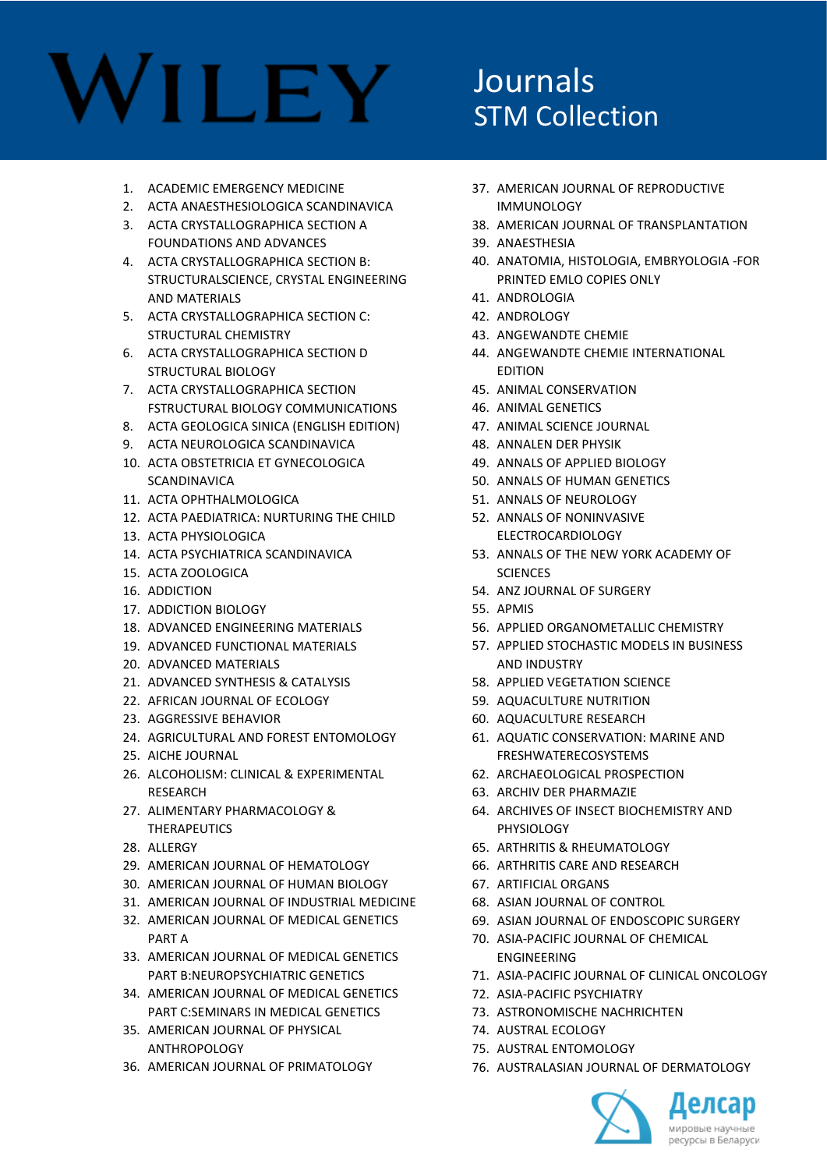#### Journals STM Collection

- 1. ACADEMIC EMERGENCY MEDICINE
- 2. ACTA ANAESTHESIOLOGICA SCANDINAVICA
- 3. ACTA CRYSTALLOGRAPHICA SECTION A FOUNDATIONS AND ADVANCES
- 4. ACTA CRYSTALLOGRAPHICA SECTION B: STRUCTURALSCIENCE, CRYSTAL ENGINEERING AND MATERIALS
- 5. ACTA CRYSTALLOGRAPHICA SECTION C: STRUCTURAL CHEMISTRY
- 6. ACTA CRYSTALLOGRAPHICA SECTION D STRUCTURAL BIOLOGY
- 7. ACTA CRYSTALLOGRAPHICA SECTION FSTRUCTURAL BIOLOGY COMMUNICATIONS
- 8. ACTA GEOLOGICA SINICA (ENGLISH EDITION)
- 9. ACTA NEUROLOGICA SCANDINAVICA
- 10. ACTA OBSTETRICIA ET GYNECOLOGICA SCANDINAVICA
- 11. ACTA OPHTHALMOLOGICA
- 12. ACTA PAEDIATRICA: NURTURING THE CHILD
- 13. ACTA PHYSIOLOGICA
- 14. ACTA PSYCHIATRICA SCANDINAVICA
- 15. ACTA ZOOLOGICA
- 16. ADDICTION
- 17. ADDICTION BIOLOGY
- 18. ADVANCED ENGINEERING MATERIALS
- 19. ADVANCED FUNCTIONAL MATERIALS
- 20. ADVANCED MATERIALS
- 21. ADVANCED SYNTHESIS & CATALYSIS
- 22. AFRICAN JOURNAL OF ECOLOGY
- 23. AGGRESSIVE BEHAVIOR
- 24. AGRICULTURAL AND FOREST ENTOMOLOGY
- 25. AICHE JOURNAL
- 26. ALCOHOLISM: CLINICAL & EXPERIMENTAL RESEARCH
- 27. ALIMENTARY PHARMACOLOGY & THERAPEUTICS
- 28. ALLERGY
- 29. AMERICAN JOURNAL OF HEMATOLOGY
- 30. AMERICAN JOURNAL OF HUMAN BIOLOGY
- 31. AMERICAN JOURNAL OF INDUSTRIAL MEDICINE
- 32. AMERICAN JOURNAL OF MEDICAL GENETICS PART A
- 33. AMERICAN JOURNAL OF MEDICAL GENETICS PART B:NEUROPSYCHIATRIC GENETICS
- 34. AMERICAN JOURNAL OF MEDICAL GENETICS PART C:SEMINARS IN MEDICAL GENETICS
- 35. AMERICAN JOURNAL OF PHYSICAL ANTHROPOLOGY
- 36. AMERICAN JOURNAL OF PRIMATOLOGY
- 37. AMERICAN JOURNAL OF REPRODUCTIVE IMMUNOLOGY
- 38. AMERICAN JOURNAL OF TRANSPLANTATION
- 39. ANAESTHESIA
- 40. ANATOMIA, HISTOLOGIA, EMBRYOLOGIA -FOR PRINTED EMLO COPIES ONLY
- 41. ANDROLOGIA
- 42. ANDROLOGY
- 43. ANGEWANDTE CHEMIE
- 44. ANGEWANDTE CHEMIE INTERNATIONAL EDITION
- 45. ANIMAL CONSERVATION
- 46. ANIMAL GENETICS
- 47. ANIMAL SCIENCE JOURNAL
- 48. ANNALEN DER PHYSIK
- 49. ANNALS OF APPLIED BIOLOGY
- 50. ANNALS OF HUMAN GENETICS
- 51. ANNALS OF NEUROLOGY
- 52. ANNALS OF NONINVASIVE ELECTROCARDIOLOGY
- 53. ANNALS OF THE NEW YORK ACADEMY OF **SCIENCES**
- 54. ANZ JOURNAL OF SURGERY
- 55. APMIS
- 56. APPLIED ORGANOMETALLIC CHEMISTRY
- 57. APPLIED STOCHASTIC MODELS IN BUSINESS AND INDUSTRY
- 58. APPLIED VEGETATION SCIENCE
- 59. AQUACULTURE NUTRITION
- 60. AQUACULTURE RESEARCH
- 61. AQUATIC CONSERVATION: MARINE AND FRESHWATERECOSYSTEMS
- 62. ARCHAEOLOGICAL PROSPECTION
- 63. ARCHIV DER PHARMAZIE
- 64. ARCHIVES OF INSECT BIOCHEMISTRY AND PHYSIOLOGY
- 65. ARTHRITIS & RHEUMATOLOGY
- 66. ARTHRITIS CARE AND RESEARCH
- 67. ARTIFICIAL ORGANS
- 68. ASIAN JOURNAL OF CONTROL
- 69. ASIAN JOURNAL OF ENDOSCOPIC SURGERY
- 70. ASIA-PACIFIC JOURNAL OF CHEMICAL ENGINEERING
- 71. ASIA-PACIFIC JOURNAL OF CLINICAL ONCOLOGY
- 72. ASIA-PACIFIC PSYCHIATRY
- 73. ASTRONOMISCHE NACHRICHTEN
- 74. AUSTRAL ECOLOGY
- 75. AUSTRAL ENTOMOLOGY
- 76. AUSTRALASIAN JOURNAL OF DERMATOLOGY

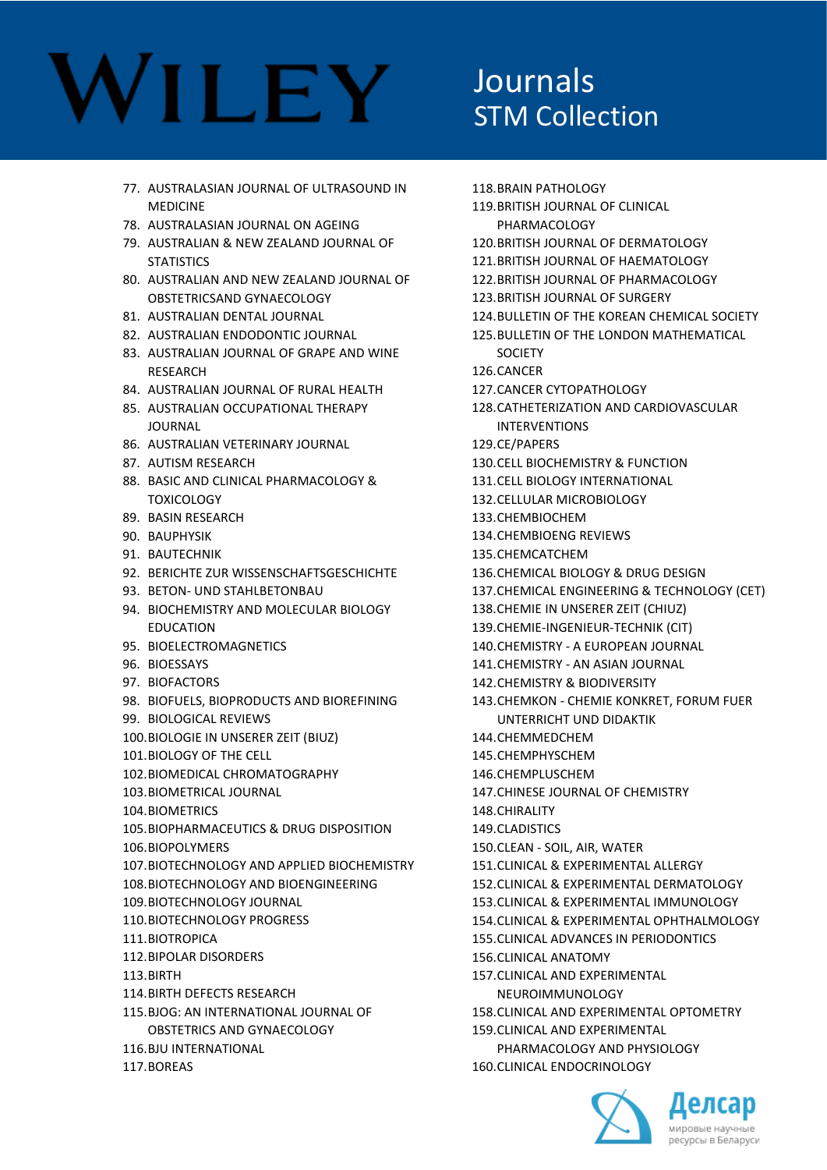#### Journals STM Collection

- 77. AUSTRALASIAN JOURNAL OF ULTRASOUND IN MEDICINE
- 78. AUSTRALASIAN JOURNAL ON AGEING
- 79. AUSTRALIAN & NEW ZEALAND JOURNAL OF **STATISTICS**
- 80. AUSTRALIAN AND NEW ZEALAND JOURNAL OF OBSTETRICSAND GYNAECOLOGY
- 81. AUSTRALIAN DENTAL JOURNAL
- 82. AUSTRALIAN ENDODONTIC JOURNAL
- 83. AUSTRALIAN JOURNAL OF GRAPE AND WINE RESEARCH
- 84. AUSTRALIAN JOURNAL OF RURAL HEALTH
- 85. AUSTRALIAN OCCUPATIONAL THERAPY JOURNAL
- 86. AUSTRALIAN VETERINARY JOURNAL
- 87. AUTISM RESEARCH
- 88. BASIC AND CLINICAL PHARMACOLOGY & **TOXICOLOGY**
- 89. BASIN RESEARCH
- 90. BAUPHYSIK
- 91. BAUTECHNIK
- 92. BERICHTE ZUR WISSENSCHAFTSGESCHICHTE
- 93. BETON- UND STAHLBETONBAU
- 94. BIOCHEMISTRY AND MOLECULAR BIOLOGY **FDUCATION**
- 95. BIOELECTROMAGNETICS
- 96. BIOESSAYS
- 97. BIOFACTORS
- 98. BIOFUELS, BIOPRODUCTS AND BIOREFINING
- 99. BIOLOGICAL REVIEWS
- 100.BIOLOGIE IN UNSERER ZEIT (BIUZ)
- 101.BIOLOGY OF THE CELL
- 102.BIOMEDICAL CHROMATOGRAPHY
- 103.BIOMETRICAL JOURNAL
- 104.BIOMETRICS
- 105.BIOPHARMACEUTICS & DRUG DISPOSITION
- 106.BIOPOLYMERS
- 107.BIOTECHNOLOGY AND APPLIED BIOCHEMISTRY
- 108.BIOTECHNOLOGY AND BIOENGINEERING
- 109.BIOTECHNOLOGY JOURNAL
- 110.BIOTECHNOLOGY PROGRESS
- 111.BIOTROPICA
- 112.BIPOLAR DISORDERS
- 113.BIRTH
- 114.BIRTH DEFECTS RESEARCH
- 115.BJOG: AN INTERNATIONAL JOURNAL OF OBSTETRICS AND GYNAECOLOGY
- 116.BJU INTERNATIONAL
- 117.BOREAS

118.BRAIN PATHOLOGY 119.BRITISH JOURNAL OF CLINICAL PHARMACOLOGY 120.BRITISH JOURNAL OF DERMATOLOGY 121.BRITISH JOURNAL OF HAEMATOLOGY 122.BRITISH JOURNAL OF PHARMACOLOGY 123.BRITISH JOURNAL OF SURGERY 124.BULLETIN OF THE KOREAN CHEMICAL SOCIETY 125.BULLETIN OF THE LONDON MATHEMATICAL **SOCIETY** 126.CANCER 127.CANCER CYTOPATHOLOGY 128.CATHETERIZATION AND CARDIOVASCULAR INTERVENTIONS 129.CE/PAPERS 130.CELL BIOCHEMISTRY & FUNCTION 131.CELL BIOLOGY INTERNATIONAL 132.CELLULAR MICROBIOLOGY 133.CHEMBIOCHEM 134.CHEMBIOENG REVIEWS 135.CHEMCATCHEM 136.CHEMICAL BIOLOGY & DRUG DESIGN 137.CHEMICAL ENGINEERING & TECHNOLOGY (CET) 138.CHEMIE IN UNSERER ZEIT (CHIUZ) 139.CHEMIE-INGENIEUR-TECHNIK (CIT) 140.CHEMISTRY - A EUROPEAN JOURNAL 141.CHEMISTRY - AN ASIAN JOURNAL 142.CHEMISTRY & BIODIVERSITY 143.CHEMKON - CHEMIE KONKRET, FORUM FUER UNTERRICHT UND DIDAKTIK 144.CHEMMEDCHEM 145.CHEMPHYSCHEM 146.CHEMPLUSCHEM 147.CHINESE JOURNAL OF CHEMISTRY 148.CHIRALITY 149.CLADISTICS 150.CLEAN - SOIL, AIR, WATER 151.CLINICAL & EXPERIMENTAL ALLERGY 152.CLINICAL & EXPERIMENTAL DERMATOLOGY 153.CLINICAL & EXPERIMENTAL IMMUNOLOGY 154.CLINICAL & EXPERIMENTAL OPHTHALMOLOGY 155.CLINICAL ADVANCES IN PERIODONTICS 156.CLINICAL ANATOMY 157.CLINICAL AND EXPERIMENTAL NEUROIMMUNOLOGY 158.CLINICAL AND EXPERIMENTAL OPTOMETRY 159.CLINICAL AND EXPERIMENTAL PHARMACOLOGY AND PHYSIOLOGY

160.CLINICAL ENDOCRINOLOGY

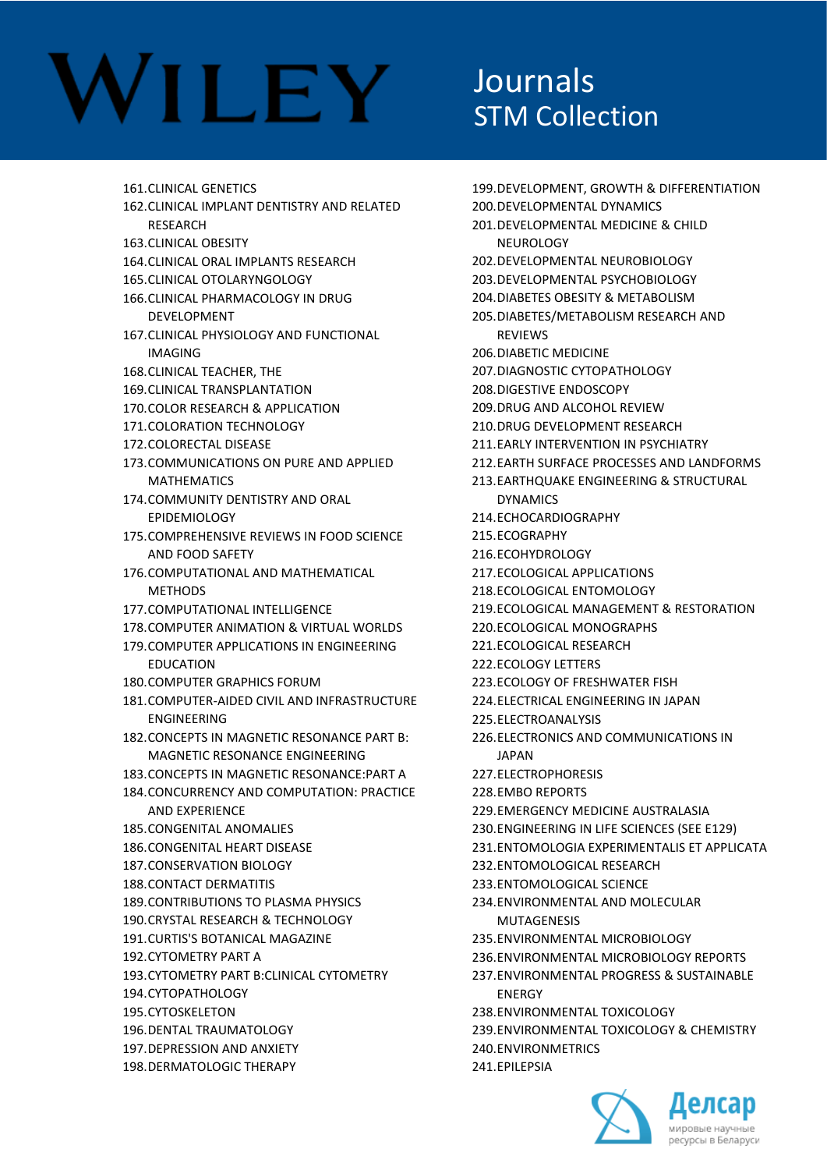# **VILEY**

### Journals STM Collection

161.CLINICAL GENETICS 162.CLINICAL IMPLANT DENTISTRY AND RELATED RESEARCH 163.CLINICAL OBESITY 164.CLINICAL ORAL IMPLANTS RESEARCH 165.CLINICAL OTOLARYNGOLOGY 166.CLINICAL PHARMACOLOGY IN DRUG DEVELOPMENT 167.CLINICAL PHYSIOLOGY AND FUNCTIONAL IMAGING 168.CLINICAL TEACHER, THE 169.CLINICAL TRANSPLANTATION 170.COLOR RESEARCH & APPLICATION 171.COLORATION TECHNOLOGY 172.COLORECTAL DISEASE 173.COMMUNICATIONS ON PURE AND APPLIED **MATHEMATICS** 174.COMMUNITY DENTISTRY AND ORAL EPIDEMIOLOGY 175.COMPREHENSIVE REVIEWS IN FOOD SCIENCE AND FOOD SAFETY 176.COMPUTATIONAL AND MATHEMATICAL **METHODS** 177.COMPUTATIONAL INTELLIGENCE 178.COMPUTER ANIMATION & VIRTUAL WORLDS 179.COMPUTER APPLICATIONS IN ENGINEERING EDUCATION 180.COMPUTER GRAPHICS FORUM 181.COMPUTER-AIDED CIVIL AND INFRASTRUCTURE ENGINEERING 182.CONCEPTS IN MAGNETIC RESONANCE PART B: MAGNETIC RESONANCE ENGINEERING 183.CONCEPTS IN MAGNETIC RESONANCE:PART A 184.CONCURRENCY AND COMPUTATION: PRACTICE AND EXPERIENCE 185.CONGENITAL ANOMALIES 186.CONGENITAL HEART DISEASE 187.CONSERVATION BIOLOGY 188.CONTACT DERMATITIS 189.CONTRIBUTIONS TO PLASMA PHYSICS 190.CRYSTAL RESEARCH & TECHNOLOGY 191.CURTIS'S BOTANICAL MAGAZINE 192.CYTOMETRY PART A 193.CYTOMETRY PART B:CLINICAL CYTOMETRY 194.CYTOPATHOLOGY 195.CYTOSKELETON 196.DENTAL TRAUMATOLOGY 197.DEPRESSION AND ANXIETY 198.DERMATOLOGIC THERAPY 241.EPILEPSIA

199.DEVELOPMENT, GROWTH & DIFFERENTIATION 200.DEVELOPMENTAL DYNAMICS 201.DEVELOPMENTAL MEDICINE & CHILD NEUROLOGY 202.DEVELOPMENTAL NEUROBIOLOGY 203.DEVELOPMENTAL PSYCHOBIOLOGY 204.DIABETES OBESITY & METABOLISM 205.DIABETES/METABOLISM RESEARCH AND REVIEWS 206.DIABETIC MEDICINE 207.DIAGNOSTIC CYTOPATHOLOGY 208.DIGESTIVE ENDOSCOPY 209.DRUG AND ALCOHOL REVIEW 210.DRUG DEVELOPMENT RESEARCH 211.EARLY INTERVENTION IN PSYCHIATRY 212.EARTH SURFACE PROCESSES AND LANDFORMS 213.EARTHQUAKE ENGINEERING & STRUCTURAL DYNAMICS 214.ECHOCARDIOGRAPHY 215.ECOGRAPHY 216.ECOHYDROLOGY 217.ECOLOGICAL APPLICATIONS 218.ECOLOGICAL ENTOMOLOGY 219.ECOLOGICAL MANAGEMENT & RESTORATION 220.ECOLOGICAL MONOGRAPHS 221.ECOLOGICAL RESEARCH 222.ECOLOGY LETTERS 223.ECOLOGY OF FRESHWATER FISH 224.ELECTRICAL ENGINEERING IN JAPAN 225.ELECTROANALYSIS 226.ELECTRONICS AND COMMUNICATIONS IN **JAPAN** 227.ELECTROPHORESIS 228.EMBO REPORTS 229.EMERGENCY MEDICINE AUSTRALASIA 230.ENGINEERING IN LIFE SCIENCES (SEE E129) 231.ENTOMOLOGIA EXPERIMENTALIS ET APPLICATA 232.ENTOMOLOGICAL RESEARCH 233.ENTOMOLOGICAL SCIENCE 234.ENVIRONMENTAL AND MOLECULAR MUTAGENESIS 235.ENVIRONMENTAL MICROBIOLOGY 236.ENVIRONMENTAL MICROBIOLOGY REPORTS 237.ENVIRONMENTAL PROGRESS & SUSTAINABLE ENERGY 238.ENVIRONMENTAL TOXICOLOGY 239.ENVIRONMENTAL TOXICOLOGY & CHEMISTRY 240.ENVIRONMETRICS

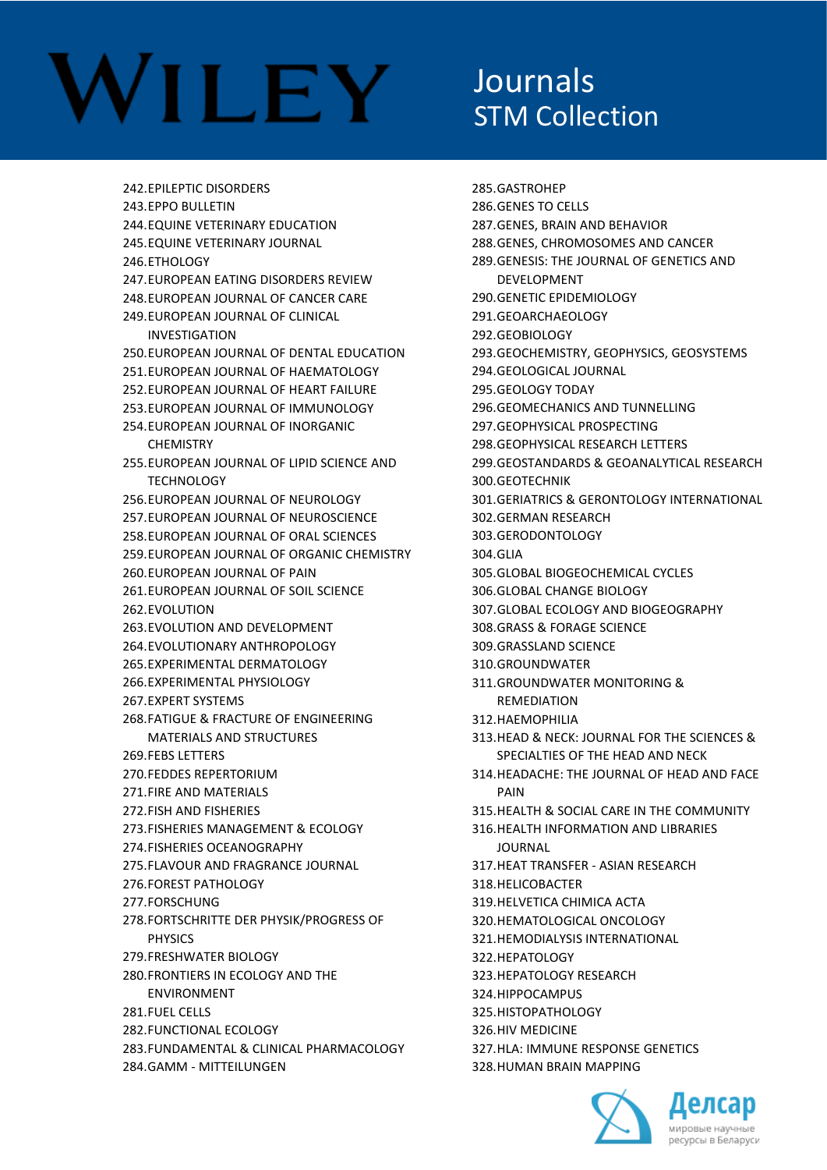### Journals STM Collection

242.EPILEPTIC DISORDERS 243.EPPO BULLETIN 244.EQUINE VETERINARY EDUCATION 245.EQUINE VETERINARY JOURNAL 246.ETHOLOGY 247.EUROPEAN EATING DISORDERS REVIEW 248.EUROPEAN JOURNAL OF CANCER CARE 249.EUROPEAN JOURNAL OF CLINICAL INVESTIGATION 250.EUROPEAN JOURNAL OF DENTAL EDUCATION 251.EUROPEAN JOURNAL OF HAEMATOLOGY 252.EUROPEAN JOURNAL OF HEART FAILURE 253.EUROPEAN JOURNAL OF IMMUNOLOGY 254.EUROPEAN JOURNAL OF INORGANIC **CHEMISTRY** 255.EUROPEAN JOURNAL OF LIPID SCIENCE AND TECHNOLOGY 256.EUROPEAN JOURNAL OF NEUROLOGY 257.EUROPEAN JOURNAL OF NEUROSCIENCE 258.EUROPEAN JOURNAL OF ORAL SCIENCES 259.EUROPEAN JOURNAL OF ORGANIC CHEMISTRY 260.EUROPEAN JOURNAL OF PAIN 261.EUROPEAN JOURNAL OF SOIL SCIENCE 262.EVOLUTION 263.EVOLUTION AND DEVELOPMENT 264.EVOLUTIONARY ANTHROPOLOGY 265.EXPERIMENTAL DERMATOLOGY 266.EXPERIMENTAL PHYSIOLOGY 267.EXPERT SYSTEMS 268.FATIGUE & FRACTURE OF ENGINEERING MATERIALS AND STRUCTURES 269.FEBS LETTERS 270.FEDDES REPERTORIUM 271.FIRE AND MATERIALS 272.FISH AND FISHERIES 273.FISHERIES MANAGEMENT & ECOLOGY 274.FISHERIES OCEANOGRAPHY 275.FLAVOUR AND FRAGRANCE JOURNAL 276.FOREST PATHOLOGY 277.FORSCHUNG 278.FORTSCHRITTE DER PHYSIK/PROGRESS OF **PHYSICS** 279.FRESHWATER BIOLOGY 280.FRONTIERS IN ECOLOGY AND THE ENVIRONMENT 281.FUEL CELLS 282.FUNCTIONAL ECOLOGY 283.FUNDAMENTAL & CLINICAL PHARMACOLOGY 284.GAMM - MITTEILUNGEN

285.GASTROHEP 286.GENES TO CELLS 287.GENES, BRAIN AND BEHAVIOR 288.GENES, CHROMOSOMES AND CANCER 289.GENESIS: THE JOURNAL OF GENETICS AND DEVELOPMENT 290.GENETIC EPIDEMIOLOGY 291.GEOARCHAEOLOGY 292.GEOBIOLOGY 293.GEOCHEMISTRY, GEOPHYSICS, GEOSYSTEMS 294.GEOLOGICAL JOURNAL 295.GEOLOGY TODAY 296.GEOMECHANICS AND TUNNELLING 297.GEOPHYSICAL PROSPECTING 298.GEOPHYSICAL RESEARCH LETTERS 299.GEOSTANDARDS & GEOANALYTICAL RESEARCH 300.GEOTECHNIK 301.GERIATRICS & GERONTOLOGY INTERNATIONAL 302.GERMAN RESEARCH 303.GERODONTOLOGY 304.GLIA 305.GLOBAL BIOGEOCHEMICAL CYCLES 306.GLOBAL CHANGE BIOLOGY 307.GLOBAL ECOLOGY AND BIOGEOGRAPHY 308.GRASS & FORAGE SCIENCE 309.GRASSLAND SCIENCE 310.GROUNDWATER 311.GROUNDWATER MONITORING & REMEDIATION 312.HAEMOPHILIA 313.HEAD & NECK: JOURNAL FOR THE SCIENCES & SPECIALTIES OF THE HEAD AND NECK 314.HEADACHE: THE JOURNAL OF HEAD AND FACE PAIN 315.HEALTH & SOCIAL CARE IN THE COMMUNITY 316.HEALTH INFORMATION AND LIBRARIES JOURNAL 317.HEAT TRANSFER - ASIAN RESEARCH 318.HELICOBACTER 319.HELVETICA CHIMICA ACTA 320.HEMATOLOGICAL ONCOLOGY 321.HEMODIALYSIS INTERNATIONAL 322.HEPATOLOGY 323.HEPATOLOGY RESEARCH 324.HIPPOCAMPUS 325.HISTOPATHOLOGY 326.HIV MEDICINE 327.HLA: IMMUNE RESPONSE GENETICS



328.HUMAN BRAIN MAPPING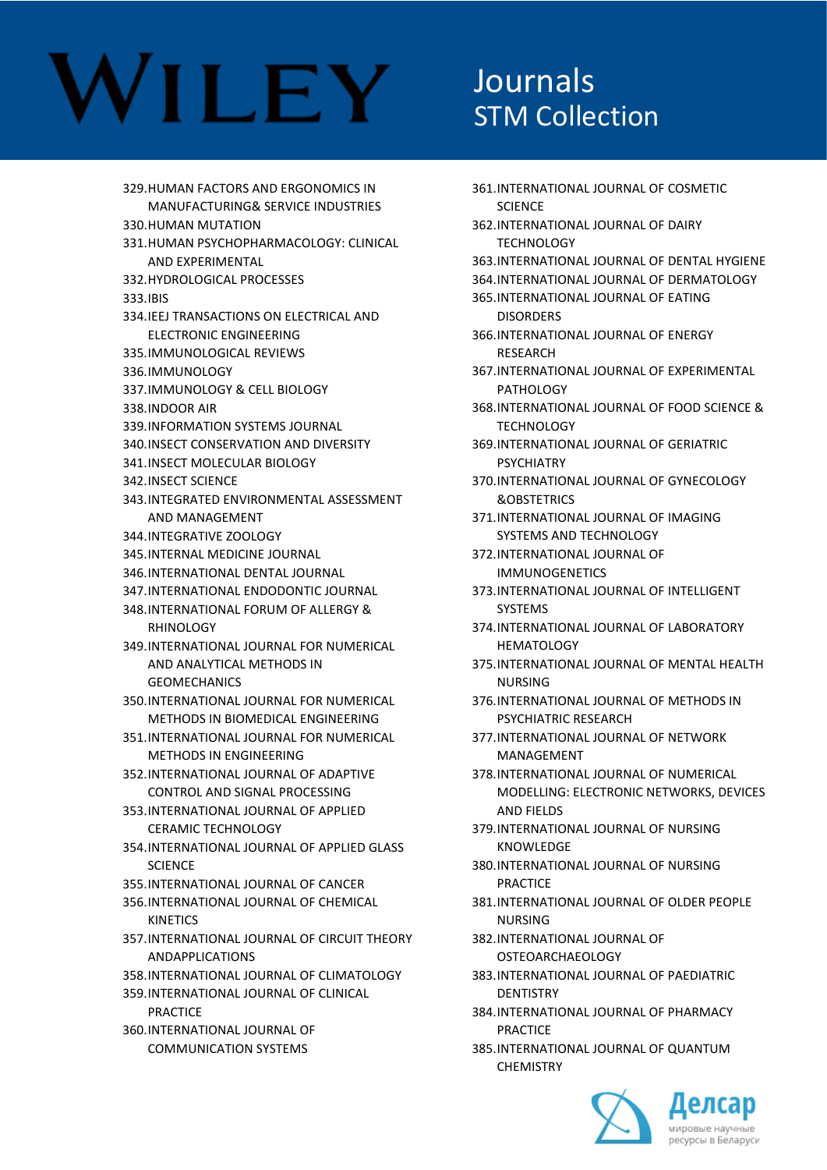329.HUMAN FACTORS AND ERGONOMICS IN MANUFACTURING& SERVICE INDUSTRIES 330.HUMAN MUTATION 331.HUMAN PSYCHOPHARMACOLOGY: CLINICAL AND EXPERIMENTAL 332.HYDROLOGICAL PROCESSES 333.IBIS 334.IEEJ TRANSACTIONS ON ELECTRICAL AND ELECTRONIC ENGINEERING 335.IMMUNOLOGICAL REVIEWS 336.IMMUNOLOGY 337.IMMUNOLOGY & CELL BIOLOGY 338.INDOOR AIR 339.INFORMATION SYSTEMS JOURNAL 340.INSECT CONSERVATION AND DIVERSITY 341.INSECT MOLECULAR BIOLOGY 342.INSECT SCIENCE 343.INTEGRATED ENVIRONMENTAL ASSESSMENT AND MANAGEMENT 344.INTEGRATIVE ZOOLOGY 345.INTERNAL MEDICINE JOURNAL 346.INTERNATIONAL DENTAL JOURNAL 347.INTERNATIONAL ENDODONTIC JOURNAL 348.INTERNATIONAL FORUM OF ALLERGY & RHINOLOGY 349.INTERNATIONAL JOURNAL FOR NUMERICAL AND ANALYTICAL METHODS IN GEOMECHANICS 350.INTERNATIONAL JOURNAL FOR NUMERICAL METHODS IN BIOMEDICAL ENGINEERING 351.INTERNATIONAL JOURNAL FOR NUMERICAL METHODS IN ENGINEERING 352.INTERNATIONAL JOURNAL OF ADAPTIVE CONTROL AND SIGNAL PROCESSING 353.INTERNATIONAL JOURNAL OF APPLIED CERAMIC TECHNOLOGY 354.INTERNATIONAL JOURNAL OF APPLIED GLASS **SCIENCE** 355.INTERNATIONAL JOURNAL OF CANCER 356.INTERNATIONAL JOURNAL OF CHEMICAL KINETICS 357.INTERNATIONAL JOURNAL OF CIRCUIT THEORY ANDAPPLICATIONS 358.INTERNATIONAL JOURNAL OF CLIMATOLOGY 359.INTERNATIONAL JOURNAL OF CLINICAL PRACTICE 360.INTERNATIONAL JOURNAL OF COMMUNICATION SYSTEMS

#### Journals STM Collection

- 361.INTERNATIONAL JOURNAL OF COSMETIC **SCIENCE** 362.INTERNATIONAL JOURNAL OF DAIRY TECHNOLOGY 363.INTERNATIONAL JOURNAL OF DENTAL HYGIENE 364.INTERNATIONAL JOURNAL OF DERMATOLOGY 365.INTERNATIONAL JOURNAL OF EATING DISORDERS 366.INTERNATIONAL JOURNAL OF ENERGY RESEARCH 367.INTERNATIONAL JOURNAL OF EXPERIMENTAL PATHOLOGY 368.INTERNATIONAL JOURNAL OF FOOD SCIENCE & **TECHNOLOGY** 369.INTERNATIONAL JOURNAL OF GERIATRIC PSYCHIATRY 370.INTERNATIONAL JOURNAL OF GYNECOLOGY &OBSTETRICS 371.INTERNATIONAL JOURNAL OF IMAGING SYSTEMS AND TECHNOLOGY 372.INTERNATIONAL JOURNAL OF IMMUNOGENETICS 373.INTERNATIONAL JOURNAL OF INTELLIGENT SYSTEMS 374.INTERNATIONAL JOURNAL OF LABORATORY HEMATOLOGY 375.INTERNATIONAL JOURNAL OF MENTAL HEALTH NURSING 376.INTERNATIONAL JOURNAL OF METHODS IN PSYCHIATRIC RESEARCH 377.INTERNATIONAL JOURNAL OF NETWORK MANAGEMENT 378.INTERNATIONAL JOURNAL OF NUMERICAL MODELLING: ELECTRONIC NETWORKS, DEVICES AND FIELDS 379.INTERNATIONAL JOURNAL OF NURSING KNOWLEDGE 380.INTERNATIONAL JOURNAL OF NURSING PRACTICE 381.INTERNATIONAL JOURNAL OF OLDER PEOPLE NURSING 382.INTERNATIONAL JOURNAL OF OSTEOARCHAEOLOGY 383.INTERNATIONAL JOURNAL OF PAEDIATRIC **DENTISTRY** 384.INTERNATIONAL JOURNAL OF PHARMACY **PRACTICE** 
	- 385.INTERNATIONAL JOURNAL OF QUANTUM **CHEMISTRY**

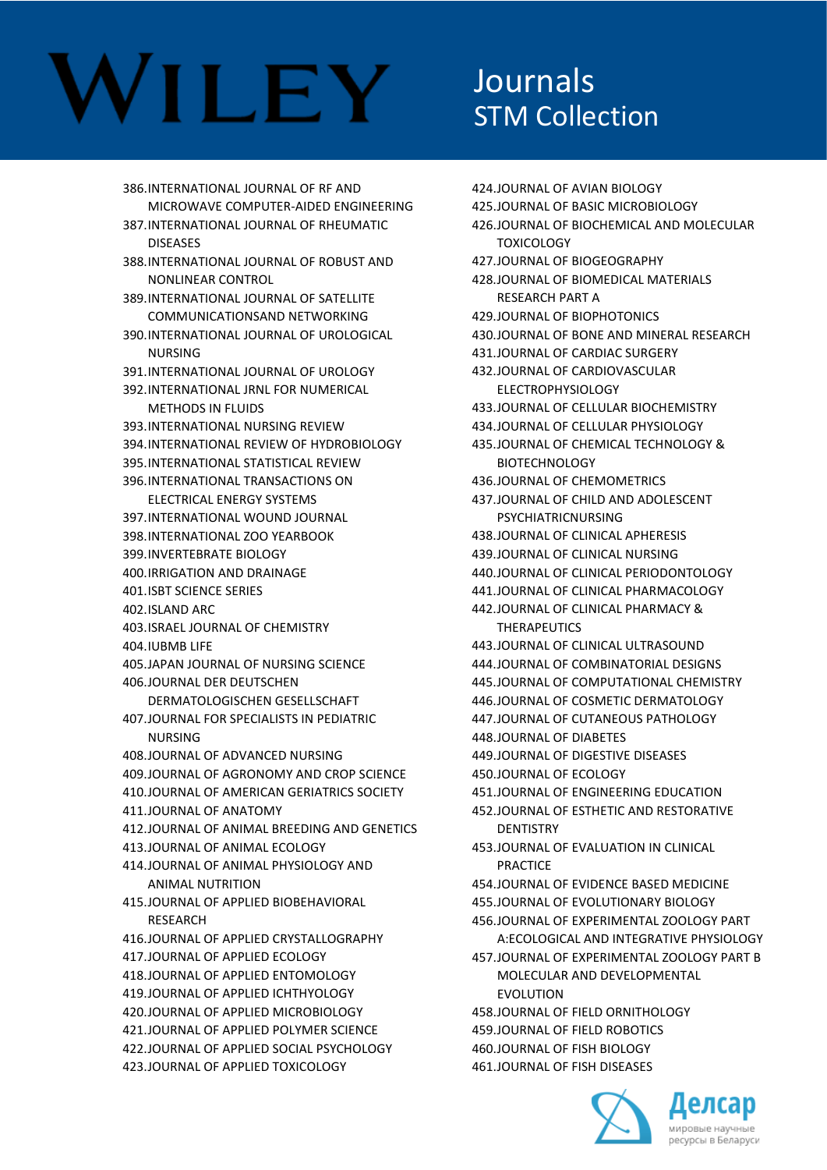386.INTERNATIONAL JOURNAL OF RF AND MICROWAVE COMPUTER-AIDED ENGINEERING 387.INTERNATIONAL JOURNAL OF RHEUMATIC **DISEASES** 388.INTERNATIONAL JOURNAL OF ROBUST AND NONLINEAR CONTROL 389.INTERNATIONAL JOURNAL OF SATELLITE COMMUNICATIONSAND NETWORKING 390.INTERNATIONAL JOURNAL OF UROLOGICAL NURSING 391.INTERNATIONAL JOURNAL OF UROLOGY 392.INTERNATIONAL JRNL FOR NUMERICAL METHODS IN FLUIDS 393.INTERNATIONAL NURSING REVIEW 394.INTERNATIONAL REVIEW OF HYDROBIOLOGY 395.INTERNATIONAL STATISTICAL REVIEW 396.INTERNATIONAL TRANSACTIONS ON ELECTRICAL ENERGY SYSTEMS 397.INTERNATIONAL WOUND JOURNAL 398.INTERNATIONAL ZOO YEARBOOK 399.INVERTEBRATE BIOLOGY 400.IRRIGATION AND DRAINAGE 401.ISBT SCIENCE SERIES 402.ISLAND ARC 403.ISRAEL JOURNAL OF CHEMISTRY 404.IUBMB LIFE 405.JAPAN JOURNAL OF NURSING SCIENCE 406.JOURNAL DER DEUTSCHEN DERMATOLOGISCHEN GESELLSCHAFT 407.JOURNAL FOR SPECIALISTS IN PEDIATRIC NURSING 408.JOURNAL OF ADVANCED NURSING 409.JOURNAL OF AGRONOMY AND CROP SCIENCE 410.JOURNAL OF AMERICAN GERIATRICS SOCIETY 411.JOURNAL OF ANATOMY 412.JOURNAL OF ANIMAL BREEDING AND GENETICS 413.JOURNAL OF ANIMAL ECOLOGY 414.JOURNAL OF ANIMAL PHYSIOLOGY AND ANIMAL NUTRITION 415.JOURNAL OF APPLIED BIOBEHAVIORAL **RESEARCH** 416.JOURNAL OF APPLIED CRYSTALLOGRAPHY 417.JOURNAL OF APPLIED ECOLOGY 418.JOURNAL OF APPLIED ENTOMOLOGY 419.JOURNAL OF APPLIED ICHTHYOLOGY 420.JOURNAL OF APPLIED MICROBIOLOGY 421.JOURNAL OF APPLIED POLYMER SCIENCE 422.JOURNAL OF APPLIED SOCIAL PSYCHOLOGY

423.JOURNAL OF APPLIED TOXICOLOGY

### Journals STM Collection

424.JOURNAL OF AVIAN BIOLOGY 425.JOURNAL OF BASIC MICROBIOLOGY 426.JOURNAL OF BIOCHEMICAL AND MOLECULAR TOXICOLOGY 427.JOURNAL OF BIOGEOGRAPHY 428.JOURNAL OF BIOMEDICAL MATERIALS RESEARCH PART A 429.JOURNAL OF BIOPHOTONICS 430.JOURNAL OF BONE AND MINERAL RESEARCH 431.JOURNAL OF CARDIAC SURGERY 432.JOURNAL OF CARDIOVASCULAR ELECTROPHYSIOLOGY 433.JOURNAL OF CELLULAR BIOCHEMISTRY 434.JOURNAL OF CELLULAR PHYSIOLOGY 435.JOURNAL OF CHEMICAL TECHNOLOGY & BIOTECHNOLOGY 436.JOURNAL OF CHEMOMETRICS 437.JOURNAL OF CHILD AND ADOLESCENT PSYCHIATRICNURSING 438.JOURNAL OF CLINICAL APHERESIS 439.JOURNAL OF CLINICAL NURSING 440.JOURNAL OF CLINICAL PERIODONTOLOGY 441.JOURNAL OF CLINICAL PHARMACOLOGY 442.JOURNAL OF CLINICAL PHARMACY & **THERAPEUTICS** 443.JOURNAL OF CLINICAL ULTRASOUND 444.JOURNAL OF COMBINATORIAL DESIGNS 445.JOURNAL OF COMPUTATIONAL CHEMISTRY 446.JOURNAL OF COSMETIC DERMATOLOGY 447.JOURNAL OF CUTANEOUS PATHOLOGY 448.JOURNAL OF DIABETES 449.JOURNAL OF DIGESTIVE DISEASES 450.JOURNAL OF ECOLOGY 451.JOURNAL OF ENGINEERING EDUCATION 452.JOURNAL OF ESTHETIC AND RESTORATIVE **DENTISTRY** 453.JOURNAL OF EVALUATION IN CLINICAL PRACTICE 454.JOURNAL OF EVIDENCE BASED MEDICINE 455.JOURNAL OF EVOLUTIONARY BIOLOGY 456.JOURNAL OF EXPERIMENTAL ZOOLOGY PART A:ECOLOGICAL AND INTEGRATIVE PHYSIOLOGY 457.JOURNAL OF EXPERIMENTAL ZOOLOGY PART B MOLECULAR AND DEVELOPMENTAL EVOLUTION 458.JOURNAL OF FIELD ORNITHOLOGY 459.JOURNAL OF FIELD ROBOTICS 460.JOURNAL OF FISH BIOLOGY



461.JOURNAL OF FISH DISEASES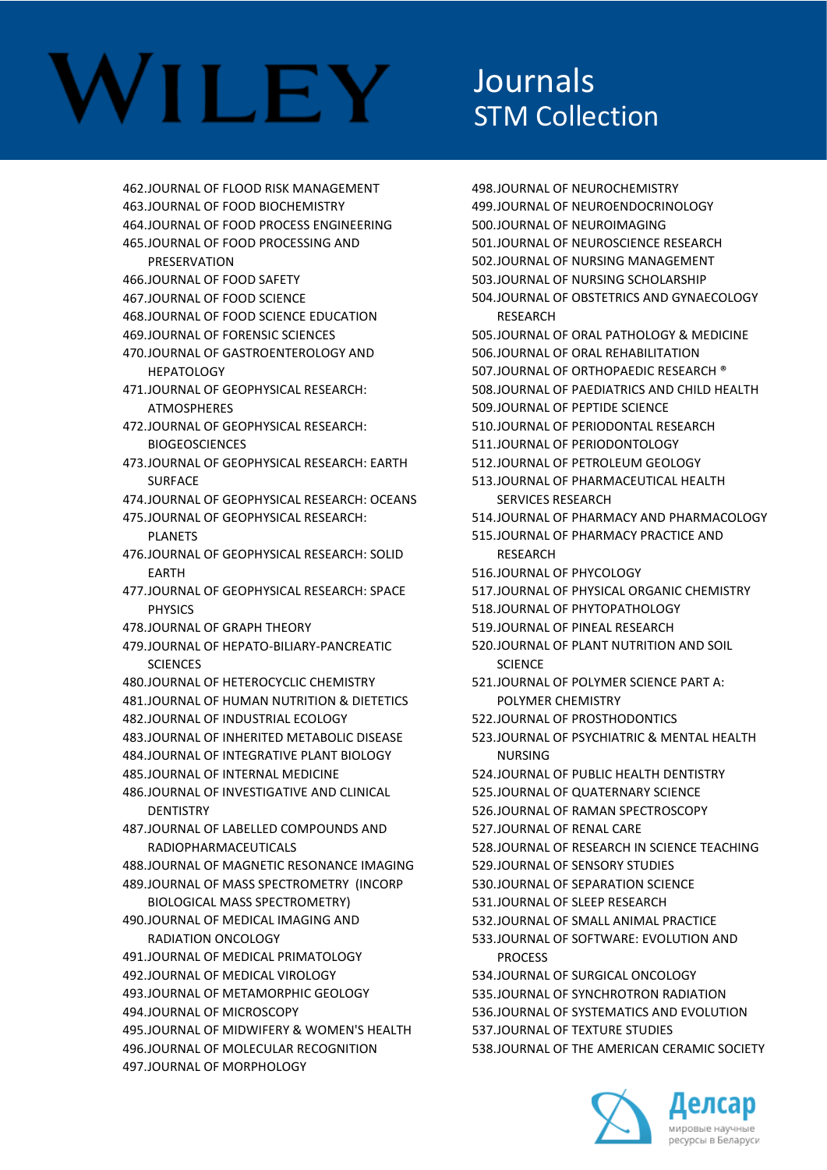# VILEY

### **Journals** STM Collection

462.JOURNAL OF FLOOD RISK MANAGEMENT 463.JOURNAL OF FOOD BIOCHEMISTRY 464.JOURNAL OF FOOD PROCESS ENGINEERING 465.JOURNAL OF FOOD PROCESSING AND **PRESERVATION** 466.JOURNAL OF FOOD SAFETY 467.JOURNAL OF FOOD SCIENCE 468.JOURNAL OF FOOD SCIENCE EDUCATION 469.JOURNAL OF FORENSIC SCIENCES 470.JOURNAL OF GASTROENTEROLOGY AND HEPATOLOGY 471.JOURNAL OF GEOPHYSICAL RESEARCH: **ATMOSPHERES** 472.JOURNAL OF GEOPHYSICAL RESEARCH: BIOGEOSCIENCES 473.JOURNAL OF GEOPHYSICAL RESEARCH: EARTH **SURFACE** 474.JOURNAL OF GEOPHYSICAL RESEARCH: OCEANS 475.JOURNAL OF GEOPHYSICAL RESEARCH: PLANETS 476.JOURNAL OF GEOPHYSICAL RESEARCH: SOLID EARTH 477.JOURNAL OF GEOPHYSICAL RESEARCH: SPACE PHYSICS 478.JOURNAL OF GRAPH THEORY 479.JOURNAL OF HEPATO-BILIARY-PANCREATIC **SCIENCES** 480.JOURNAL OF HETEROCYCLIC CHEMISTRY 481.JOURNAL OF HUMAN NUTRITION & DIETETICS 482.JOURNAL OF INDUSTRIAL ECOLOGY 483.JOURNAL OF INHERITED METABOLIC DISEASE 484.JOURNAL OF INTEGRATIVE PLANT BIOLOGY 485.JOURNAL OF INTERNAL MEDICINE 486.JOURNAL OF INVESTIGATIVE AND CLINICAL **DENTISTRY** 487.JOURNAL OF LABELLED COMPOUNDS AND RADIOPHARMACEUTICALS 488.JOURNAL OF MAGNETIC RESONANCE IMAGING 489.JOURNAL OF MASS SPECTROMETRY (INCORP BIOLOGICAL MASS SPECTROMETRY) 490.JOURNAL OF MEDICAL IMAGING AND RADIATION ONCOLOGY 491.JOURNAL OF MEDICAL PRIMATOLOGY 492.JOURNAL OF MEDICAL VIROLOGY 493.JOURNAL OF METAMORPHIC GEOLOGY 494.JOURNAL OF MICROSCOPY 495.JOURNAL OF MIDWIFERY & WOMEN'S HEALTH 496.JOURNAL OF MOLECULAR RECOGNITION 497.JOURNAL OF MORPHOLOGY

498.JOURNAL OF NEUROCHEMISTRY 499.JOURNAL OF NEUROENDOCRINOLOGY 500.JOURNAL OF NEUROIMAGING 501.JOURNAL OF NEUROSCIENCE RESEARCH 502.JOURNAL OF NURSING MANAGEMENT 503.JOURNAL OF NURSING SCHOLARSHIP 504.JOURNAL OF OBSTETRICS AND GYNAECOLOGY RESEARCH 505.JOURNAL OF ORAL PATHOLOGY & MEDICINE 506.JOURNAL OF ORAL REHABILITATION 507.JOURNAL OF ORTHOPAEDIC RESEARCH ® 508.JOURNAL OF PAEDIATRICS AND CHILD HEALTH 509.JOURNAL OF PEPTIDE SCIENCE 510.JOURNAL OF PERIODONTAL RESEARCH 511.JOURNAL OF PERIODONTOLOGY 512.JOURNAL OF PETROLEUM GEOLOGY 513.JOURNAL OF PHARMACEUTICAL HEALTH SERVICES RESEARCH 514.JOURNAL OF PHARMACY AND PHARMACOLOGY 515.JOURNAL OF PHARMACY PRACTICE AND **RESEARCH** 516.JOURNAL OF PHYCOLOGY 517.JOURNAL OF PHYSICAL ORGANIC CHEMISTRY 518.JOURNAL OF PHYTOPATHOLOGY 519.JOURNAL OF PINEAL RESEARCH 520.JOURNAL OF PLANT NUTRITION AND SOIL **SCIENCE** 521.JOURNAL OF POLYMER SCIENCE PART A: POLYMER CHEMISTRY 522.JOURNAL OF PROSTHODONTICS 523.JOURNAL OF PSYCHIATRIC & MENTAL HEALTH NURSING 524.JOURNAL OF PUBLIC HEALTH DENTISTRY 525.JOURNAL OF QUATERNARY SCIENCE 526.JOURNAL OF RAMAN SPECTROSCOPY 527.JOURNAL OF RENAL CARE 528.JOURNAL OF RESEARCH IN SCIENCE TEACHING 529.JOURNAL OF SENSORY STUDIES 530.JOURNAL OF SEPARATION SCIENCE 531.JOURNAL OF SLEEP RESEARCH 532.JOURNAL OF SMALL ANIMAL PRACTICE 533.JOURNAL OF SOFTWARE: EVOLUTION AND **PROCESS** 534.JOURNAL OF SURGICAL ONCOLOGY 535.JOURNAL OF SYNCHROTRON RADIATION 536.JOURNAL OF SYSTEMATICS AND EVOLUTION 537.JOURNAL OF TEXTURE STUDIES 538.JOURNAL OF THE AMERICAN CERAMIC SOCIETY

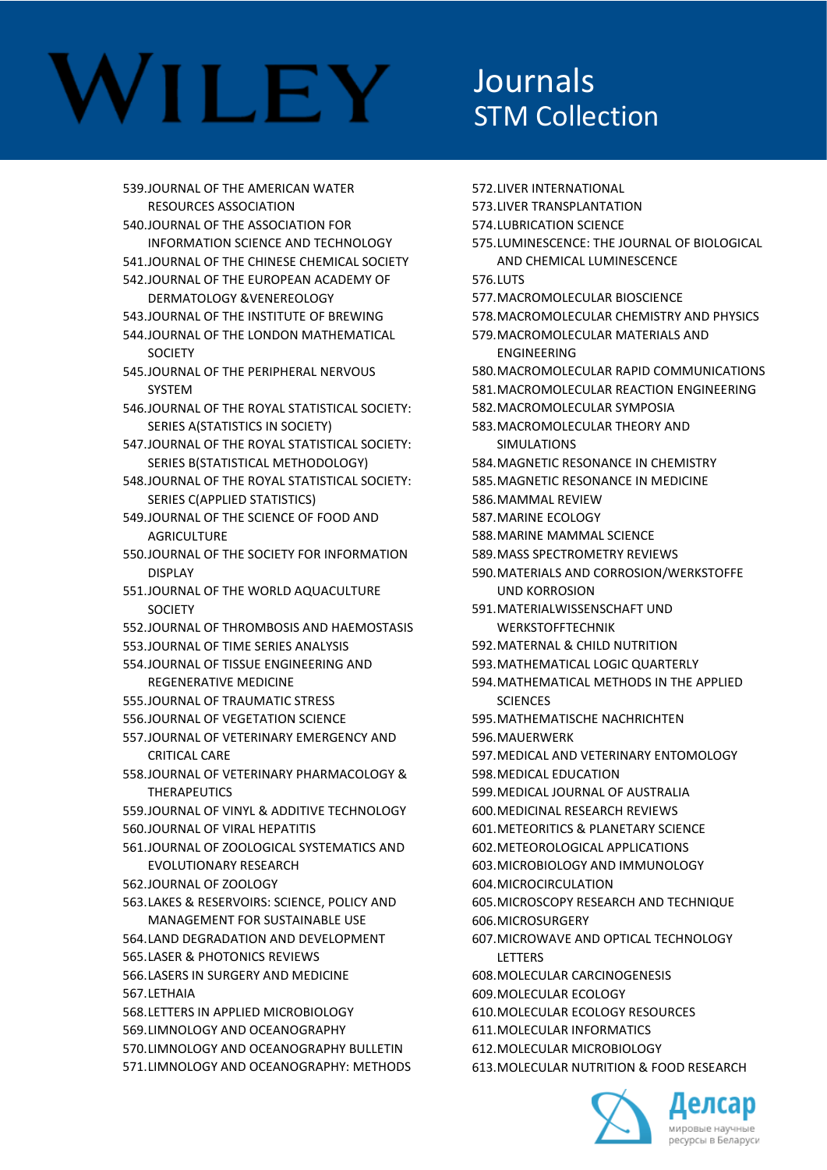### **Journals** STM Collection

539.JOURNAL OF THE AMERICAN WATER RESOURCES ASSOCIATION 540.JOURNAL OF THE ASSOCIATION FOR INFORMATION SCIENCE AND TECHNOLOGY 541.JOURNAL OF THE CHINESE CHEMICAL SOCIETY 542.JOURNAL OF THE EUROPEAN ACADEMY OF DERMATOLOGY &VENEREOLOGY 543.JOURNAL OF THE INSTITUTE OF BREWING 544.JOURNAL OF THE LONDON MATHEMATICAL **SOCIETY** 545.JOURNAL OF THE PERIPHERAL NERVOUS SYSTEM 546.JOURNAL OF THE ROYAL STATISTICAL SOCIETY: SERIES A(STATISTICS IN SOCIETY) 547.JOURNAL OF THE ROYAL STATISTICAL SOCIETY: SERIES B(STATISTICAL METHODOLOGY) 548.JOURNAL OF THE ROYAL STATISTICAL SOCIETY: SERIES C(APPLIED STATISTICS) 549.JOURNAL OF THE SCIENCE OF FOOD AND **AGRICULTURE** 550.JOURNAL OF THE SOCIETY FOR INFORMATION DISPLAY 551.JOURNAL OF THE WORLD AQUACULTURE **SOCIETY** 552.JOURNAL OF THROMBOSIS AND HAEMOSTASIS 553.JOURNAL OF TIME SERIES ANALYSIS 554.JOURNAL OF TISSUE ENGINEERING AND REGENERATIVE MEDICINE 555.JOURNAL OF TRAUMATIC STRESS 556.JOURNAL OF VEGETATION SCIENCE 557.JOURNAL OF VETERINARY EMERGENCY AND CRITICAL CARE 558.JOURNAL OF VETERINARY PHARMACOLOGY & THERAPEUTICS 559.JOURNAL OF VINYL & ADDITIVE TECHNOLOGY 560.JOURNAL OF VIRAL HEPATITIS 561.JOURNAL OF ZOOLOGICAL SYSTEMATICS AND EVOLUTIONARY RESEARCH 562.JOURNAL OF ZOOLOGY 563.LAKES & RESERVOIRS: SCIENCE, POLICY AND MANAGEMENT FOR SUSTAINABLE USE 564.LAND DEGRADATION AND DEVELOPMENT 565.LASER & PHOTONICS REVIEWS 566.LASERS IN SURGERY AND MEDICINE 567.LETHAIA 568.LETTERS IN APPLIED MICROBIOLOGY 569.LIMNOLOGY AND OCEANOGRAPHY 570.LIMNOLOGY AND OCEANOGRAPHY BULLETIN 571.LIMNOLOGY AND OCEANOGRAPHY: METHODS

572.LIVER INTERNATIONAL 573.LIVER TRANSPLANTATION 574.LUBRICATION SCIENCE 575.LUMINESCENCE: THE JOURNAL OF BIOLOGICAL AND CHEMICAL LUMINESCENCE 576.LUTS 577.MACROMOLECULAR BIOSCIENCE 578.MACROMOLECULAR CHEMISTRY AND PHYSICS 579.MACROMOLECULAR MATERIALS AND ENGINEERING 580.MACROMOLECULAR RAPID COMMUNICATIONS 581.MACROMOLECULAR REACTION ENGINEERING 582.MACROMOLECULAR SYMPOSIA 583.MACROMOLECULAR THEORY AND SIMULATIONS 584.MAGNETIC RESONANCE IN CHEMISTRY 585.MAGNETIC RESONANCE IN MEDICINE 586.MAMMAL REVIEW 587.MARINE ECOLOGY 588.MARINE MAMMAL SCIENCE 589.MASS SPECTROMETRY REVIEWS 590.MATERIALS AND CORROSION/WERKSTOFFE UND KORROSION 591.MATERIALWISSENSCHAFT UND WERKSTOFFTECHNIK 592.MATERNAL & CHILD NUTRITION 593.MATHEMATICAL LOGIC QUARTERLY 594.MATHEMATICAL METHODS IN THE APPLIED **SCIENCES** 595.MATHEMATISCHE NACHRICHTEN 596.MAUERWERK 597.MEDICAL AND VETERINARY ENTOMOLOGY 598.MEDICAL EDUCATION 599.MEDICAL JOURNAL OF AUSTRALIA 600.MEDICINAL RESEARCH REVIEWS 601.METEORITICS & PLANETARY SCIENCE 602.METEOROLOGICAL APPLICATIONS 603.MICROBIOLOGY AND IMMUNOLOGY 604.MICROCIRCULATION 605.MICROSCOPY RESEARCH AND TECHNIQUE 606.MICROSURGERY 607.MICROWAVE AND OPTICAL TECHNOLOGY **LETTERS** 608.MOLECULAR CARCINOGENESIS 609.MOLECULAR ECOLOGY 610.MOLECULAR ECOLOGY RESOURCES 611.MOLECULAR INFORMATICS 612.MOLECULAR MICROBIOLOGY 613.MOLECULAR NUTRITION & FOOD RESEARCH

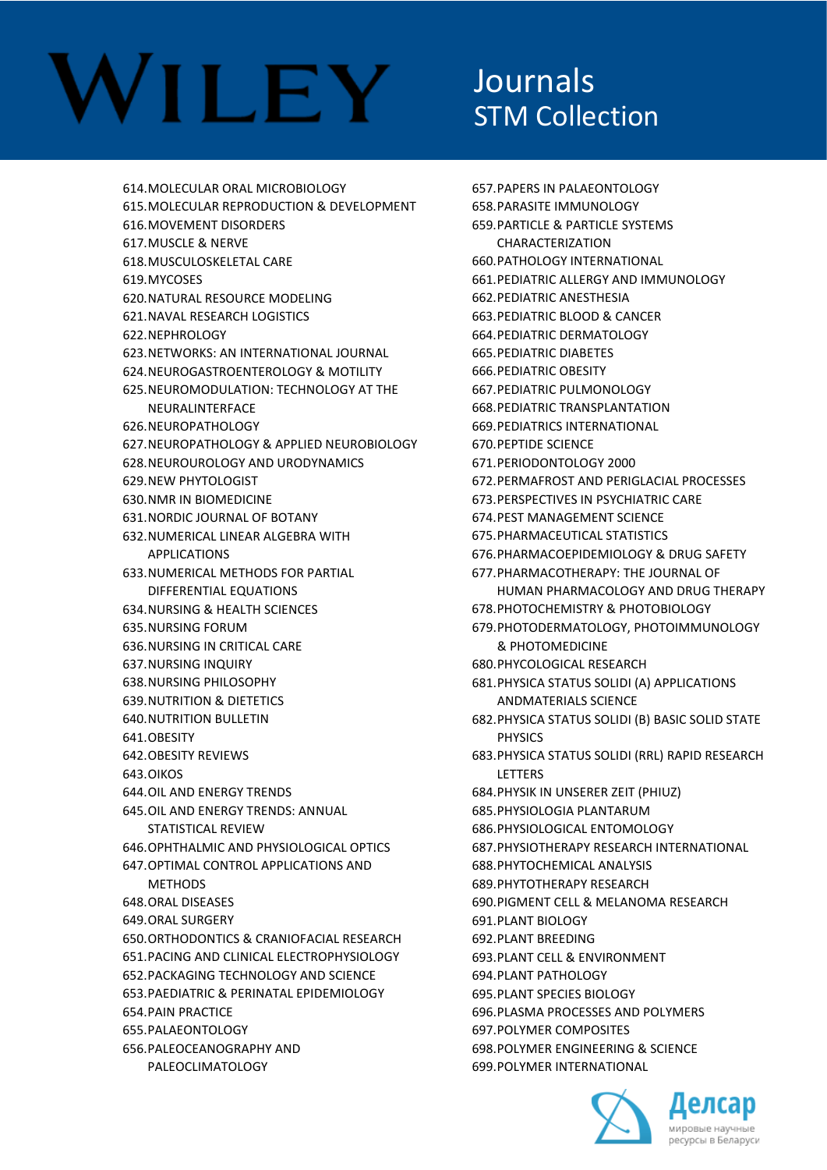### Journals STM Collection

614.MOLECULAR ORAL MICROBIOLOGY 615.MOLECULAR REPRODUCTION & DEVELOPMENT 616.MOVEMENT DISORDERS 617.MUSCLE & NERVE 618.MUSCULOSKELETAL CARE 619.MYCOSES 620.NATURAL RESOURCE MODELING 621.NAVAL RESEARCH LOGISTICS 622.NEPHROLOGY 623.NETWORKS: AN INTERNATIONAL JOURNAL 624.NEUROGASTROENTEROLOGY & MOTILITY 625.NEUROMODULATION: TECHNOLOGY AT THE NEURALINTERFACE 626.NEUROPATHOLOGY 627.NEUROPATHOLOGY & APPLIED NEUROBIOLOGY 628.NEUROUROLOGY AND URODYNAMICS 629.NEW PHYTOLOGIST 630.NMR IN BIOMEDICINE 631.NORDIC JOURNAL OF BOTANY 632.NUMERICAL LINEAR ALGEBRA WITH APPLICATIONS 633.NUMERICAL METHODS FOR PARTIAL DIFFERENTIAL EQUATIONS 634.NURSING & HEALTH SCIENCES 635.NURSING FORUM 636.NURSING IN CRITICAL CARE 637.NURSING INQUIRY 638.NURSING PHILOSOPHY 639.NUTRITION & DIETETICS 640.NUTRITION BULLETIN 641.OBESITY 642.OBESITY REVIEWS 643.OIKOS 644.OIL AND ENERGY TRENDS 645.OIL AND ENERGY TRENDS: ANNUAL STATISTICAL REVIEW 646.OPHTHALMIC AND PHYSIOLOGICAL OPTICS 647.OPTIMAL CONTROL APPLICATIONS AND **METHODS** 648.ORAL DISEASES 649.ORAL SURGERY 650.ORTHODONTICS & CRANIOFACIAL RESEARCH 651.PACING AND CLINICAL ELECTROPHYSIOLOGY 652.PACKAGING TECHNOLOGY AND SCIENCE 653.PAEDIATRIC & PERINATAL EPIDEMIOLOGY 654.PAIN PRACTICE 655.PALAEONTOLOGY 656.PALEOCEANOGRAPHY AND PALEOCLIMATOLOGY

657.PAPERS IN PALAEONTOLOGY 658.PARASITE IMMUNOLOGY 659.PARTICLE & PARTICLE SYSTEMS CHARACTERIZATION 660.PATHOLOGY INTERNATIONAL 661.PEDIATRIC ALLERGY AND IMMUNOLOGY 662.PEDIATRIC ANESTHESIA 663.PEDIATRIC BLOOD & CANCER 664.PEDIATRIC DERMATOLOGY 665.PEDIATRIC DIABETES 666.PEDIATRIC OBESITY 667.PEDIATRIC PULMONOLOGY 668.PEDIATRIC TRANSPLANTATION 669.PEDIATRICS INTERNATIONAL 670.PEPTIDE SCIENCE 671.PERIODONTOLOGY 2000 672.PERMAFROST AND PERIGLACIAL PROCESSES 673.PERSPECTIVES IN PSYCHIATRIC CARE 674.PEST MANAGEMENT SCIENCE 675.PHARMACEUTICAL STATISTICS 676.PHARMACOEPIDEMIOLOGY & DRUG SAFETY 677.PHARMACOTHERAPY: THE JOURNAL OF HUMAN PHARMACOLOGY AND DRUG THERAPY 678.PHOTOCHEMISTRY & PHOTOBIOLOGY 679.PHOTODERMATOLOGY, PHOTOIMMUNOLOGY & PHOTOMEDICINE 680.PHYCOLOGICAL RESEARCH 681.PHYSICA STATUS SOLIDI (A) APPLICATIONS ANDMATERIALS SCIENCE 682.PHYSICA STATUS SOLIDI (B) BASIC SOLID STATE **PHYSICS** 683.PHYSICA STATUS SOLIDI (RRL) RAPID RESEARCH LETTERS 684.PHYSIK IN UNSERER ZEIT (PHIUZ) 685.PHYSIOLOGIA PLANTARUM 686.PHYSIOLOGICAL ENTOMOLOGY 687.PHYSIOTHERAPY RESEARCH INTERNATIONAL 688.PHYTOCHEMICAL ANALYSIS 689.PHYTOTHERAPY RESEARCH 690.PIGMENT CELL & MELANOMA RESEARCH 691.PLANT BIOLOGY 692.PLANT BREEDING 693.PLANT CELL & ENVIRONMENT 694.PLANT PATHOLOGY 695.PLANT SPECIES BIOLOGY 696.PLASMA PROCESSES AND POLYMERS 697.POLYMER COMPOSITES 698.POLYMER ENGINEERING & SCIENCE 699.POLYMER INTERNATIONAL

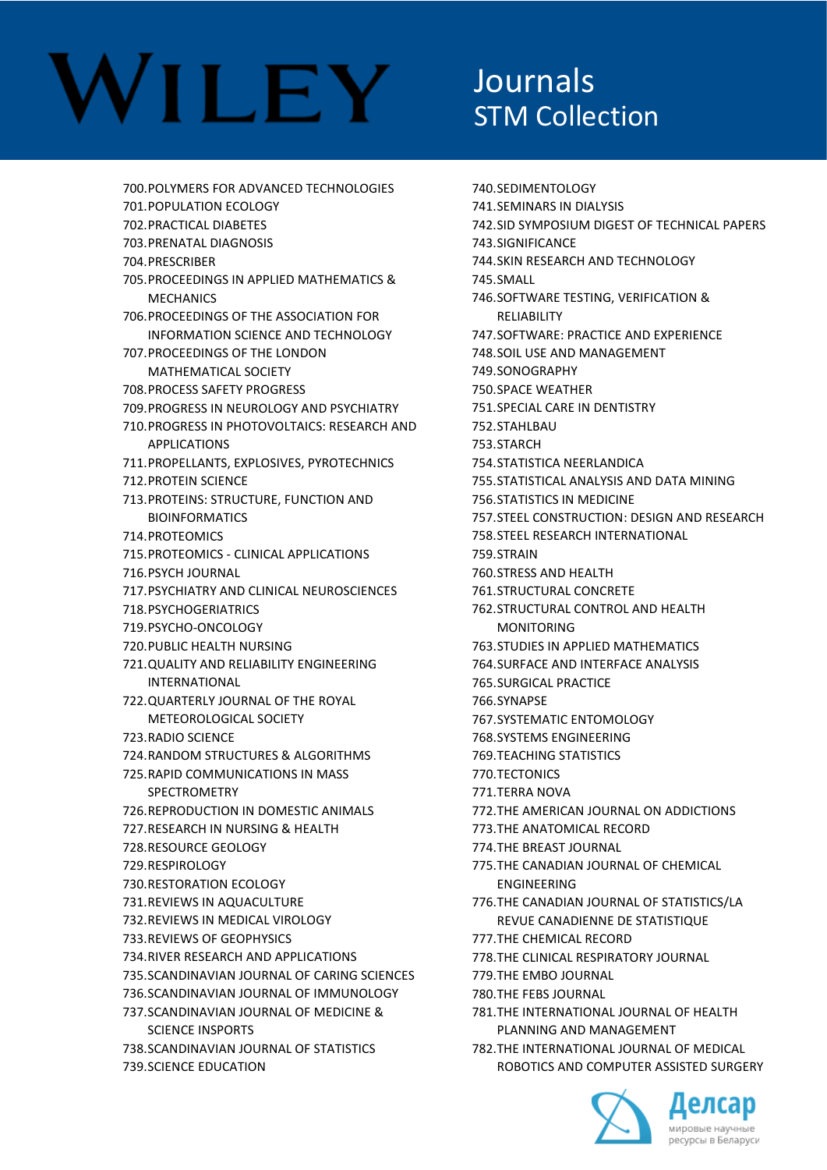### Journals STM Collection

700.POLYMERS FOR ADVANCED TECHNOLOGIES 701.POPULATION ECOLOGY 702.PRACTICAL DIABETES 703.PRENATAL DIAGNOSIS 704.PRESCRIBER 705.PROCEEDINGS IN APPLIED MATHEMATICS & **MECHANICS** 706.PROCEEDINGS OF THE ASSOCIATION FOR INFORMATION SCIENCE AND TECHNOLOGY 707.PROCEEDINGS OF THE LONDON MATHEMATICAL SOCIETY 708.PROCESS SAFETY PROGRESS 709.PROGRESS IN NEUROLOGY AND PSYCHIATRY 710.PROGRESS IN PHOTOVOLTAICS: RESEARCH AND APPLICATIONS 711.PROPELLANTS, EXPLOSIVES, PYROTECHNICS 712.PROTEIN SCIENCE 713.PROTEINS: STRUCTURE, FUNCTION AND BIOINFORMATICS 714.PROTEOMICS 715.PROTEOMICS - CLINICAL APPLICATIONS 716.PSYCH JOURNAL 717.PSYCHIATRY AND CLINICAL NEUROSCIENCES 718.PSYCHOGERIATRICS 719.PSYCHO-ONCOLOGY 720.PUBLIC HEALTH NURSING 721.QUALITY AND RELIABILITY ENGINEERING INTERNATIONAL 722.QUARTERLY JOURNAL OF THE ROYAL METEOROLOGICAL SOCIETY 723.RADIO SCIENCE 724.RANDOM STRUCTURES & ALGORITHMS 725.RAPID COMMUNICATIONS IN MASS SPECTROMETRY 726.REPRODUCTION IN DOMESTIC ANIMALS 727.RESEARCH IN NURSING & HEALTH 728.RESOURCE GEOLOGY 729.RESPIROLOGY 730.RESTORATION ECOLOGY 731.REVIEWS IN AQUACULTURE 732.REVIEWS IN MEDICAL VIROLOGY 733.REVIEWS OF GEOPHYSICS 734.RIVER RESEARCH AND APPLICATIONS 735.SCANDINAVIAN JOURNAL OF CARING SCIENCES 736.SCANDINAVIAN JOURNAL OF IMMUNOLOGY 737.SCANDINAVIAN JOURNAL OF MEDICINE & SCIENCE INSPORTS 738.SCANDINAVIAN JOURNAL OF STATISTICS 739.SCIENCE EDUCATION

740.SEDIMENTOLOGY 741.SEMINARS IN DIALYSIS 742.SID SYMPOSIUM DIGEST OF TECHNICAL PAPERS 743.SIGNIFICANCE 744.SKIN RESEARCH AND TECHNOLOGY 745.SMALL 746.SOFTWARE TESTING, VERIFICATION & RELIABILITY 747.SOFTWARE: PRACTICE AND EXPERIENCE 748.SOIL USE AND MANAGEMENT 749.SONOGRAPHY 750.SPACE WEATHER 751.SPECIAL CARE IN DENTISTRY 752.STAHLBAU 753.STARCH 754.STATISTICA NEERLANDICA 755.STATISTICAL ANALYSIS AND DATA MINING 756.STATISTICS IN MEDICINE 757.STEEL CONSTRUCTION: DESIGN AND RESEARCH 758.STEEL RESEARCH INTERNATIONAL **759 STRAIN** 760.STRESS AND HEALTH 761.STRUCTURAL CONCRETE 762.STRUCTURAL CONTROL AND HEALTH MONITORING 763.STUDIES IN APPLIED MATHEMATICS 764.SURFACE AND INTERFACE ANALYSIS 765.SURGICAL PRACTICE 766.SYNAPSE 767.SYSTEMATIC ENTOMOLOGY 768.SYSTEMS ENGINEERING 769.TEACHING STATISTICS 770.TECTONICS 771.TERRA NOVA 772.THE AMERICAN JOURNAL ON ADDICTIONS 773.THE ANATOMICAL RECORD 774.THE BREAST JOURNAL 775.THE CANADIAN JOURNAL OF CHEMICAL ENGINEERING 776.THE CANADIAN JOURNAL OF STATISTICS/LA REVUE CANADIENNE DE STATISTIQUE 777.THE CHEMICAL RECORD 778.THE CLINICAL RESPIRATORY JOURNAL 779.THE EMBO JOURNAL 780.THE FEBS JOURNAL 781.THE INTERNATIONAL JOURNAL OF HEALTH PLANNING AND MANAGEMENT 782.THE INTERNATIONAL JOURNAL OF MEDICAL ROBOTICS AND COMPUTER ASSISTED SURGERY